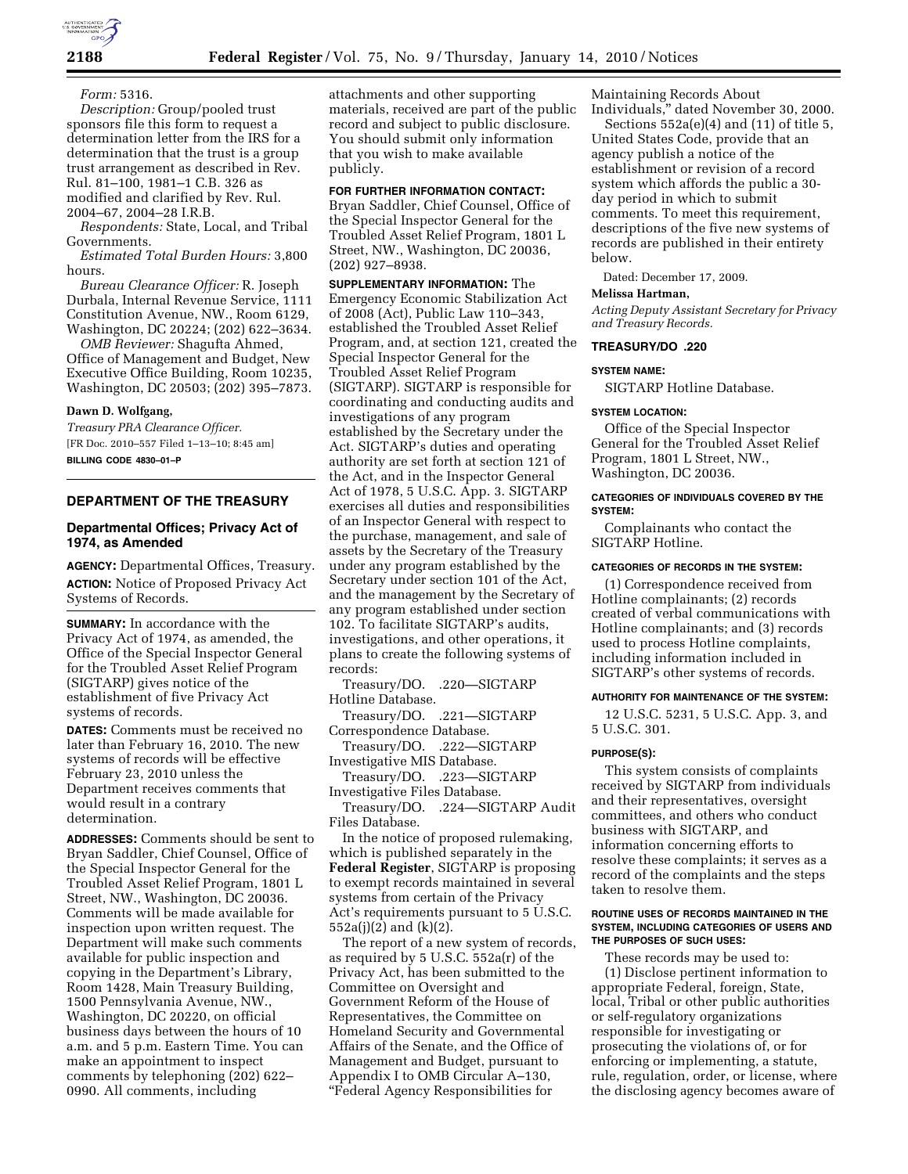

*Form:* 5316.

*Description:* Group/pooled trust sponsors file this form to request a determination letter from the IRS for a determination that the trust is a group trust arrangement as described in Rev. Rul. 81–100, 1981–1 C.B. 326 as modified and clarified by Rev. Rul. 2004–67, 2004–28 I.R.B.

*Respondents:* State, Local, and Tribal Governments.

*Estimated Total Burden Hours:* 3,800 hours.

*Bureau Clearance Officer:* R. Joseph Durbala, Internal Revenue Service, 1111 Constitution Avenue, NW., Room 6129, Washington, DC 20224; (202) 622–3634.

*OMB Reviewer:* Shagufta Ahmed, Office of Management and Budget, New Executive Office Building, Room 10235, Washington, DC 20503; (202) 395–7873.

## **Dawn D. Wolfgang,**

*Treasury PRA Clearance Officer.*  [FR Doc. 2010–557 Filed 1–13–10; 8:45 am] **BILLING CODE 4830–01–P** 

# **DEPARTMENT OF THE TREASURY**

# **Departmental Offices; Privacy Act of 1974, as Amended**

**AGENCY:** Departmental Offices, Treasury. **ACTION:** Notice of Proposed Privacy Act Systems of Records.

**SUMMARY:** In accordance with the Privacy Act of 1974, as amended, the Office of the Special Inspector General for the Troubled Asset Relief Program (SIGTARP) gives notice of the establishment of five Privacy Act systems of records.

**DATES:** Comments must be received no later than February 16, 2010. The new systems of records will be effective February 23, 2010 unless the Department receives comments that would result in a contrary determination.

**ADDRESSES:** Comments should be sent to Bryan Saddler, Chief Counsel, Office of the Special Inspector General for the Troubled Asset Relief Program, 1801 L Street, NW., Washington, DC 20036. Comments will be made available for inspection upon written request. The Department will make such comments available for public inspection and copying in the Department's Library, Room 1428, Main Treasury Building, 1500 Pennsylvania Avenue, NW., Washington, DC 20220, on official business days between the hours of 10 a.m. and 5 p.m. Eastern Time. You can make an appointment to inspect comments by telephoning (202) 622– 0990. All comments, including

attachments and other supporting materials, received are part of the public record and subject to public disclosure. You should submit only information that you wish to make available publicly.

# **FOR FURTHER INFORMATION CONTACT:**

Bryan Saddler, Chief Counsel, Office of the Special Inspector General for the Troubled Asset Relief Program, 1801 L Street, NW., Washington, DC 20036, (202) 927–8938.

**SUPPLEMENTARY INFORMATION:** The Emergency Economic Stabilization Act of 2008 (Act), Public Law 110–343, established the Troubled Asset Relief Program, and, at section 121, created the Special Inspector General for the Troubled Asset Relief Program (SIGTARP). SIGTARP is responsible for coordinating and conducting audits and investigations of any program established by the Secretary under the Act. SIGTARP's duties and operating authority are set forth at section 121 of the Act, and in the Inspector General Act of 1978, 5 U.S.C. App. 3. SIGTARP exercises all duties and responsibilities of an Inspector General with respect to the purchase, management, and sale of assets by the Secretary of the Treasury under any program established by the Secretary under section 101 of the Act, and the management by the Secretary of any program established under section 102. To facilitate SIGTARP's audits, investigations, and other operations, it plans to create the following systems of records:

Treasury/DO. .220—SIGTARP Hotline Database.

Treasury/DO. .221—SIGTARP Correspondence Database.

Treasury/DO. .222—SIGTARP Investigative MIS Database.

Treasury/DO. .223—SIGTARP

Investigative Files Database.

Treasury/DO. .224—SIGTARP Audit Files Database.

In the notice of proposed rulemaking, which is published separately in the **Federal Register**, SIGTARP is proposing to exempt records maintained in several systems from certain of the Privacy Act's requirements pursuant to 5 U.S.C. 552a(j)(2) and (k)(2).

The report of a new system of records, as required by 5 U.S.C. 552a(r) of the Privacy Act, has been submitted to the Committee on Oversight and Government Reform of the House of Representatives, the Committee on Homeland Security and Governmental Affairs of the Senate, and the Office of Management and Budget, pursuant to Appendix I to OMB Circular A–130, ''Federal Agency Responsibilities for

Maintaining Records About Individuals,'' dated November 30, 2000.

Sections  $552a(e)(4)$  and  $(11)$  of title 5, United States Code, provide that an agency publish a notice of the establishment or revision of a record system which affords the public a 30 day period in which to submit comments. To meet this requirement, descriptions of the five new systems of records are published in their entirety below.

Dated: December 17, 2009.

# **Melissa Hartman,**

*Acting Deputy Assistant Secretary for Privacy and Treasury Records.* 

#### **TREASURY/DO .220**

#### **SYSTEM NAME:**

SIGTARP Hotline Database.

# **SYSTEM LOCATION:**

Office of the Special Inspector General for the Troubled Asset Relief Program, 1801 L Street, NW., Washington, DC 20036.

# **CATEGORIES OF INDIVIDUALS COVERED BY THE SYSTEM:**

Complainants who contact the SIGTARP Hotline.

# **CATEGORIES OF RECORDS IN THE SYSTEM:**

(1) Correspondence received from Hotline complainants; (2) records created of verbal communications with Hotline complainants; and (3) records used to process Hotline complaints, including information included in SIGTARP's other systems of records.

# **AUTHORITY FOR MAINTENANCE OF THE SYSTEM:**

12 U.S.C. 5231, 5 U.S.C. App. 3, and 5 U.S.C. 301.

#### **PURPOSE(S):**

This system consists of complaints received by SIGTARP from individuals and their representatives, oversight committees, and others who conduct business with SIGTARP, and information concerning efforts to resolve these complaints; it serves as a record of the complaints and the steps taken to resolve them.

# **ROUTINE USES OF RECORDS MAINTAINED IN THE SYSTEM, INCLUDING CATEGORIES OF USERS AND THE PURPOSES OF SUCH USES:**

These records may be used to: (1) Disclose pertinent information to appropriate Federal, foreign, State, local, Tribal or other public authorities or self-regulatory organizations responsible for investigating or prosecuting the violations of, or for enforcing or implementing, a statute, rule, regulation, order, or license, where the disclosing agency becomes aware of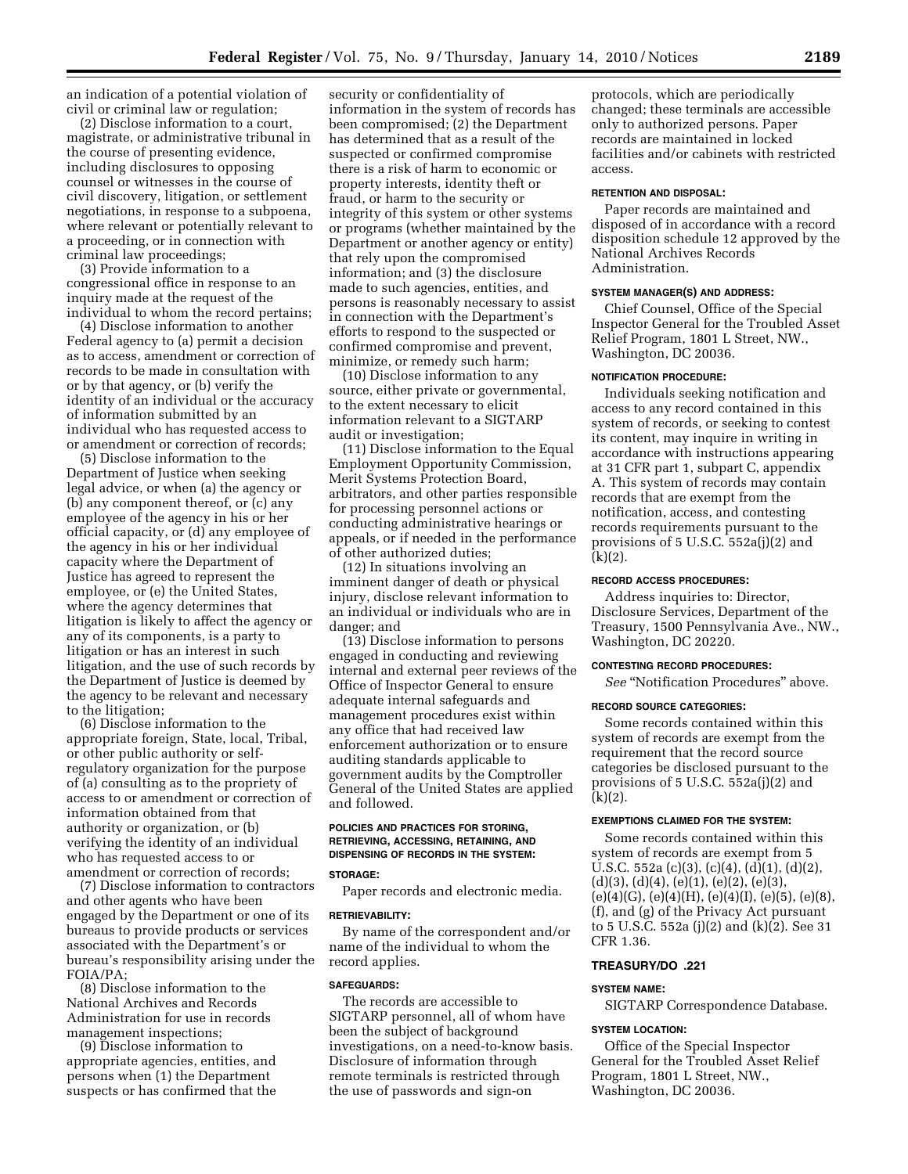an indication of a potential violation of civil or criminal law or regulation;

(2) Disclose information to a court, magistrate, or administrative tribunal in the course of presenting evidence, including disclosures to opposing counsel or witnesses in the course of civil discovery, litigation, or settlement negotiations, in response to a subpoena, where relevant or potentially relevant to a proceeding, or in connection with criminal law proceedings;

(3) Provide information to a congressional office in response to an inquiry made at the request of the individual to whom the record pertains;

(4) Disclose information to another Federal agency to (a) permit a decision as to access, amendment or correction of records to be made in consultation with or by that agency, or (b) verify the identity of an individual or the accuracy of information submitted by an individual who has requested access to or amendment or correction of records;

(5) Disclose information to the Department of Justice when seeking legal advice, or when (a) the agency or (b) any component thereof, or (c) any employee of the agency in his or her official capacity, or (d) any employee of the agency in his or her individual capacity where the Department of Justice has agreed to represent the employee, or (e) the United States, where the agency determines that litigation is likely to affect the agency or any of its components, is a party to litigation or has an interest in such litigation, and the use of such records by the Department of Justice is deemed by the agency to be relevant and necessary to the litigation;

(6) Disclose information to the appropriate foreign, State, local, Tribal, or other public authority or selfregulatory organization for the purpose of (a) consulting as to the propriety of access to or amendment or correction of information obtained from that authority or organization, or (b) verifying the identity of an individual who has requested access to or amendment or correction of records;

(7) Disclose information to contractors and other agents who have been engaged by the Department or one of its bureaus to provide products or services associated with the Department's or bureau's responsibility arising under the FOIA/PA;

(8) Disclose information to the National Archives and Records Administration for use in records management inspections;

(9) Disclose information to appropriate agencies, entities, and persons when (1) the Department suspects or has confirmed that the

security or confidentiality of information in the system of records has been compromised; (2) the Department has determined that as a result of the suspected or confirmed compromise there is a risk of harm to economic or property interests, identity theft or fraud, or harm to the security or integrity of this system or other systems or programs (whether maintained by the Department or another agency or entity) that rely upon the compromised information; and (3) the disclosure made to such agencies, entities, and persons is reasonably necessary to assist in connection with the Department's efforts to respond to the suspected or confirmed compromise and prevent, minimize, or remedy such harm;

(10) Disclose information to any source, either private or governmental, to the extent necessary to elicit information relevant to a SIGTARP audit or investigation;

(11) Disclose information to the Equal Employment Opportunity Commission, Merit Systems Protection Board, arbitrators, and other parties responsible for processing personnel actions or conducting administrative hearings or appeals, or if needed in the performance of other authorized duties;

(12) In situations involving an imminent danger of death or physical injury, disclose relevant information to an individual or individuals who are in danger; and

(13) Disclose information to persons engaged in conducting and reviewing internal and external peer reviews of the Office of Inspector General to ensure adequate internal safeguards and management procedures exist within any office that had received law enforcement authorization or to ensure auditing standards applicable to government audits by the Comptroller General of the United States are applied and followed.

# **POLICIES AND PRACTICES FOR STORING, RETRIEVING, ACCESSING, RETAINING, AND DISPENSING OF RECORDS IN THE SYSTEM:**

## **STORAGE:**

Paper records and electronic media.

#### **RETRIEVABILITY:**

By name of the correspondent and/or name of the individual to whom the record applies.

#### **SAFEGUARDS:**

The records are accessible to SIGTARP personnel, all of whom have been the subject of background investigations, on a need-to-know basis. Disclosure of information through remote terminals is restricted through the use of passwords and sign-on

protocols, which are periodically changed; these terminals are accessible only to authorized persons. Paper records are maintained in locked facilities and/or cabinets with restricted access.

# **RETENTION AND DISPOSAL:**

Paper records are maintained and disposed of in accordance with a record disposition schedule 12 approved by the National Archives Records Administration.

## **SYSTEM MANAGER(S) AND ADDRESS:**

Chief Counsel, Office of the Special Inspector General for the Troubled Asset Relief Program, 1801 L Street, NW., Washington, DC 20036.

#### **NOTIFICATION PROCEDURE:**

Individuals seeking notification and access to any record contained in this system of records, or seeking to contest its content, may inquire in writing in accordance with instructions appearing at 31 CFR part 1, subpart C, appendix A. This system of records may contain records that are exempt from the notification, access, and contesting records requirements pursuant to the provisions of 5 U.S.C. 552a(j)(2) and (k)(2).

## **RECORD ACCESS PROCEDURES:**

Address inquiries to: Director, Disclosure Services, Department of the Treasury, 1500 Pennsylvania Ave., NW., Washington, DC 20220.

#### **CONTESTING RECORD PROCEDURES:**

See "Notification Procedures" above.

# **RECORD SOURCE CATEGORIES:**

Some records contained within this system of records are exempt from the requirement that the record source categories be disclosed pursuant to the provisions of 5 U.S.C. 552a(j)(2) and  $(k)(2)$ .

# **EXEMPTIONS CLAIMED FOR THE SYSTEM:**

Some records contained within this system of records are exempt from 5 U.S.C. 552a (c)(3), (c)(4), (d)(1), (d)(2),  $(d)(3), (d)(4), (e)(1), (e)(2), (e)(3),$  $(e)(4)(G), (e)(4)(H), (e)(4)(I), (e)(5), (e)(8),$ (f), and (g) of the Privacy Act pursuant to 5 U.S.C. 552a (j)(2) and (k)(2). See 31 CFR 1.36.

#### **TREASURY/DO .221**

#### **SYSTEM NAME:**

SIGTARP Correspondence Database.

#### **SYSTEM LOCATION:**

Office of the Special Inspector General for the Troubled Asset Relief Program, 1801 L Street, NW., Washington, DC 20036.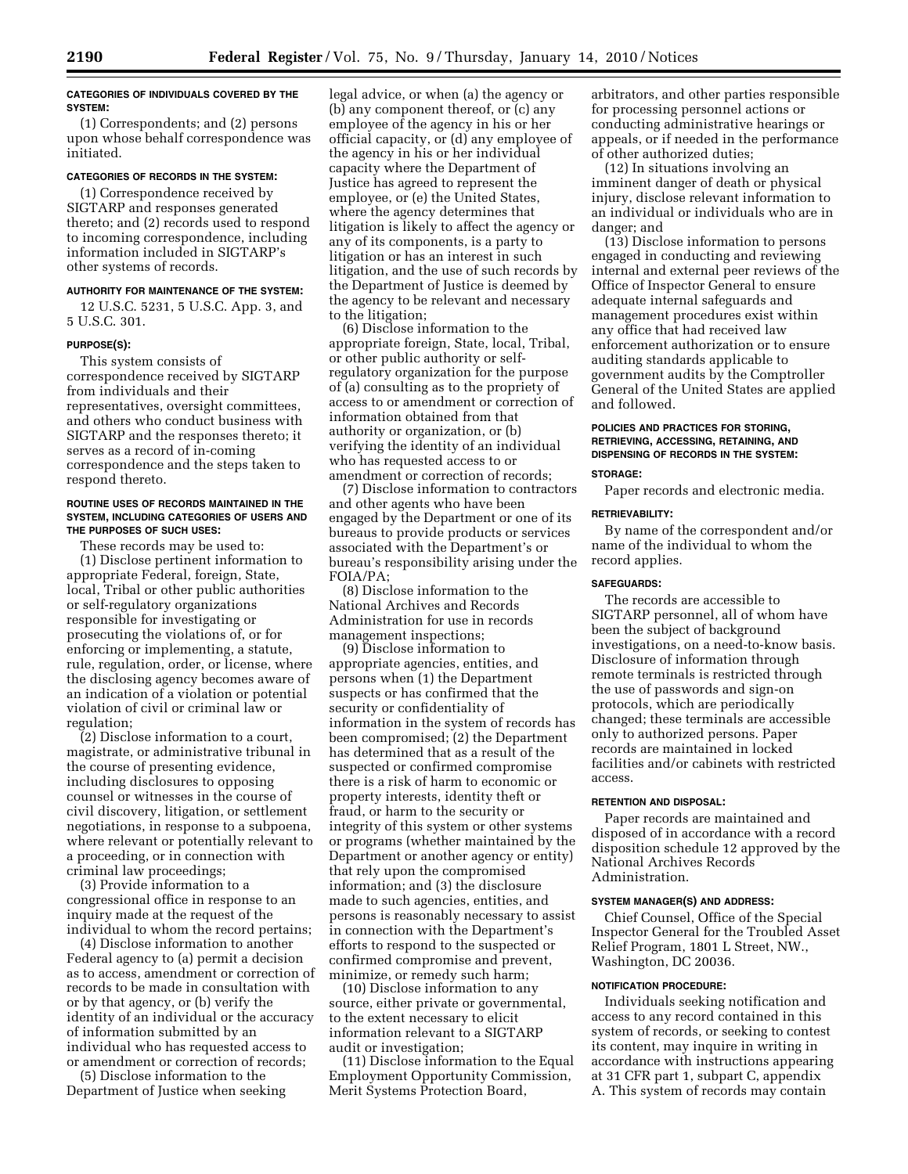## **CATEGORIES OF INDIVIDUALS COVERED BY THE SYSTEM:**

(1) Correspondents; and (2) persons upon whose behalf correspondence was initiated.

# **CATEGORIES OF RECORDS IN THE SYSTEM:**

(1) Correspondence received by SIGTARP and responses generated thereto; and (2) records used to respond to incoming correspondence, including information included in SIGTARP's other systems of records.

# **AUTHORITY FOR MAINTENANCE OF THE SYSTEM:**

12 U.S.C. 5231, 5 U.S.C. App. 3, and 5 U.S.C. 301.

#### **PURPOSE(S):**

This system consists of correspondence received by SIGTARP from individuals and their representatives, oversight committees, and others who conduct business with SIGTARP and the responses thereto; it serves as a record of in-coming correspondence and the steps taken to respond thereto.

## **ROUTINE USES OF RECORDS MAINTAINED IN THE SYSTEM, INCLUDING CATEGORIES OF USERS AND THE PURPOSES OF SUCH USES:**

These records may be used to: (1) Disclose pertinent information to appropriate Federal, foreign, State, local, Tribal or other public authorities or self-regulatory organizations responsible for investigating or prosecuting the violations of, or for enforcing or implementing, a statute, rule, regulation, order, or license, where the disclosing agency becomes aware of an indication of a violation or potential violation of civil or criminal law or regulation;

(2) Disclose information to a court, magistrate, or administrative tribunal in the course of presenting evidence, including disclosures to opposing counsel or witnesses in the course of civil discovery, litigation, or settlement negotiations, in response to a subpoena, where relevant or potentially relevant to a proceeding, or in connection with criminal law proceedings;

(3) Provide information to a congressional office in response to an inquiry made at the request of the individual to whom the record pertains;

(4) Disclose information to another Federal agency to (a) permit a decision as to access, amendment or correction of records to be made in consultation with or by that agency, or (b) verify the identity of an individual or the accuracy of information submitted by an individual who has requested access to or amendment or correction of records;

(5) Disclose information to the Department of Justice when seeking

legal advice, or when (a) the agency or (b) any component thereof, or (c) any employee of the agency in his or her official capacity, or (d) any employee of the agency in his or her individual capacity where the Department of Justice has agreed to represent the employee, or (e) the United States, where the agency determines that litigation is likely to affect the agency or any of its components, is a party to litigation or has an interest in such litigation, and the use of such records by the Department of Justice is deemed by the agency to be relevant and necessary to the litigation;

(6) Disclose information to the appropriate foreign, State, local, Tribal, or other public authority or selfregulatory organization for the purpose of (a) consulting as to the propriety of access to or amendment or correction of information obtained from that authority or organization, or (b) verifying the identity of an individual who has requested access to or amendment or correction of records;

(7) Disclose information to contractors and other agents who have been engaged by the Department or one of its bureaus to provide products or services associated with the Department's or bureau's responsibility arising under the FOIA/PA;

(8) Disclose information to the National Archives and Records Administration for use in records management inspections;

(9) Disclose information to appropriate agencies, entities, and persons when (1) the Department suspects or has confirmed that the security or confidentiality of information in the system of records has been compromised; (2) the Department has determined that as a result of the suspected or confirmed compromise there is a risk of harm to economic or property interests, identity theft or fraud, or harm to the security or integrity of this system or other systems or programs (whether maintained by the Department or another agency or entity) that rely upon the compromised information; and (3) the disclosure made to such agencies, entities, and persons is reasonably necessary to assist in connection with the Department's efforts to respond to the suspected or confirmed compromise and prevent, minimize, or remedy such harm;

(10) Disclose information to any source, either private or governmental, to the extent necessary to elicit information relevant to a SIGTARP audit or investigation;

(11) Disclose information to the Equal Employment Opportunity Commission, Merit Systems Protection Board,

arbitrators, and other parties responsible for processing personnel actions or conducting administrative hearings or appeals, or if needed in the performance of other authorized duties;

(12) In situations involving an imminent danger of death or physical injury, disclose relevant information to an individual or individuals who are in danger; and

(13) Disclose information to persons engaged in conducting and reviewing internal and external peer reviews of the Office of Inspector General to ensure adequate internal safeguards and management procedures exist within any office that had received law enforcement authorization or to ensure auditing standards applicable to government audits by the Comptroller General of the United States are applied and followed.

# **POLICIES AND PRACTICES FOR STORING, RETRIEVING, ACCESSING, RETAINING, AND DISPENSING OF RECORDS IN THE SYSTEM:**

## **STORAGE:**

Paper records and electronic media.

## **RETRIEVABILITY:**

By name of the correspondent and/or name of the individual to whom the record applies.

# **SAFEGUARDS:**

The records are accessible to SIGTARP personnel, all of whom have been the subject of background investigations, on a need-to-know basis. Disclosure of information through remote terminals is restricted through the use of passwords and sign-on protocols, which are periodically changed; these terminals are accessible only to authorized persons. Paper records are maintained in locked facilities and/or cabinets with restricted access.

## **RETENTION AND DISPOSAL:**

Paper records are maintained and disposed of in accordance with a record disposition schedule 12 approved by the National Archives Records Administration.

## **SYSTEM MANAGER(S) AND ADDRESS:**

Chief Counsel, Office of the Special Inspector General for the Troubled Asset Relief Program, 1801 L Street, NW., Washington, DC 20036.

## **NOTIFICATION PROCEDURE:**

Individuals seeking notification and access to any record contained in this system of records, or seeking to contest its content, may inquire in writing in accordance with instructions appearing at 31 CFR part 1, subpart C, appendix A. This system of records may contain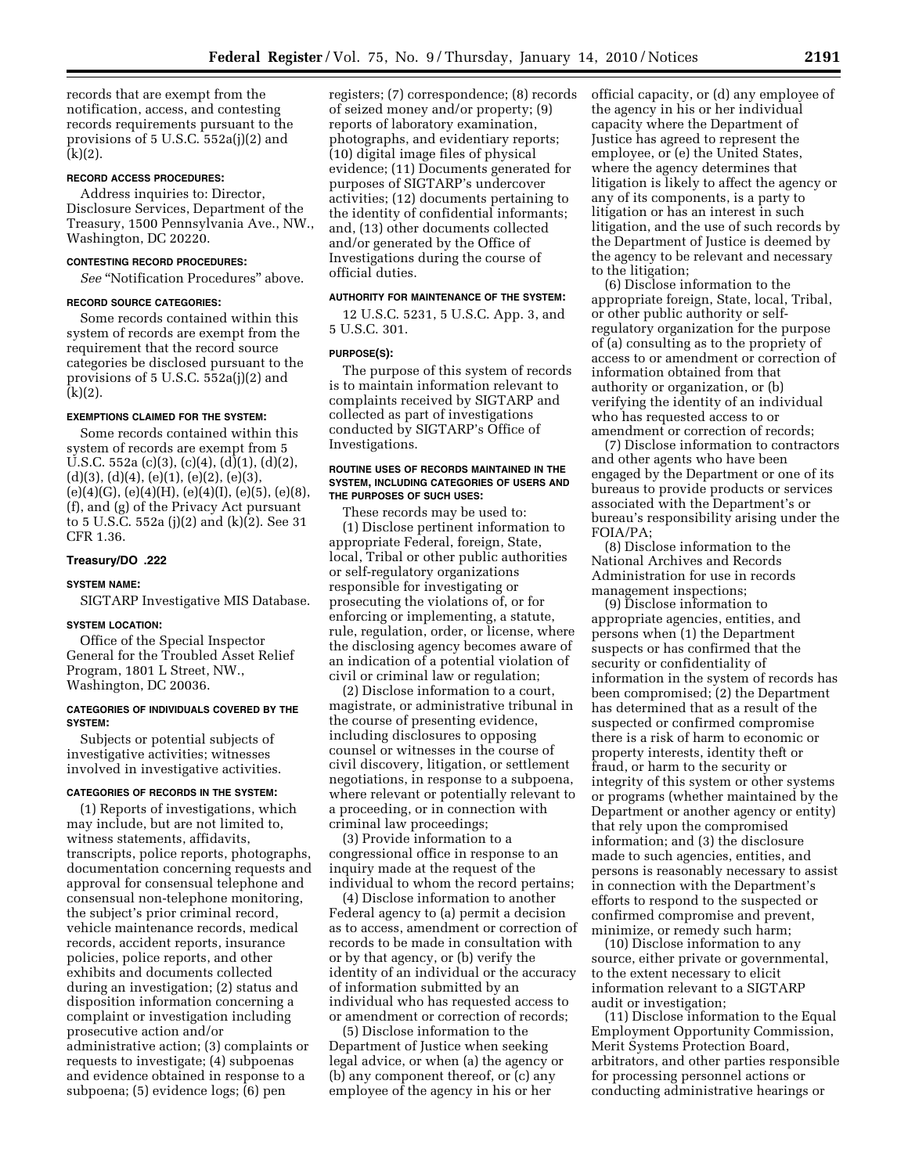records that are exempt from the notification, access, and contesting records requirements pursuant to the provisions of 5 U.S.C. 552a(j)(2) and  $(k)(2)$ .

# **RECORD ACCESS PROCEDURES:**

Address inquiries to: Director, Disclosure Services, Department of the Treasury, 1500 Pennsylvania Ave., NW., Washington, DC 20220.

# **CONTESTING RECORD PROCEDURES:**

*See* ''Notification Procedures'' above.

## **RECORD SOURCE CATEGORIES:**

Some records contained within this system of records are exempt from the requirement that the record source categories be disclosed pursuant to the provisions of 5 U.S.C. 552a(j)(2) and (k)(2).

#### **EXEMPTIONS CLAIMED FOR THE SYSTEM:**

Some records contained within this system of records are exempt from 5 U.S.C. 552a (c)(3), (c)(4), (d)(1), (d)(2), (d)(3), (d)(4), (e)(1), (e)(2), (e)(3),  $(e)(4)(G), (e)(4)(H), (e)(4)(I), (e)(5), (e)(8),$ (f), and (g) of the Privacy Act pursuant to 5 U.S.C. 552a (j)(2) and (k)(2). See 31 CFR 1.36.

## **Treasury/DO .222**

# **SYSTEM NAME:**

SIGTARP Investigative MIS Database.

#### **SYSTEM LOCATION:**

Office of the Special Inspector General for the Troubled Asset Relief Program, 1801 L Street, NW., Washington, DC 20036.

## **CATEGORIES OF INDIVIDUALS COVERED BY THE SYSTEM:**

Subjects or potential subjects of investigative activities; witnesses involved in investigative activities.

#### **CATEGORIES OF RECORDS IN THE SYSTEM:**

(1) Reports of investigations, which may include, but are not limited to, witness statements, affidavits, transcripts, police reports, photographs, documentation concerning requests and approval for consensual telephone and consensual non-telephone monitoring, the subject's prior criminal record, vehicle maintenance records, medical records, accident reports, insurance policies, police reports, and other exhibits and documents collected during an investigation; (2) status and disposition information concerning a complaint or investigation including prosecutive action and/or administrative action; (3) complaints or requests to investigate; (4) subpoenas and evidence obtained in response to a subpoena; (5) evidence logs; (6) pen

registers; (7) correspondence; (8) records of seized money and/or property; (9) reports of laboratory examination, photographs, and evidentiary reports; (10) digital image files of physical evidence; (11) Documents generated for purposes of SIGTARP's undercover activities; (12) documents pertaining to the identity of confidential informants; and, (13) other documents collected and/or generated by the Office of Investigations during the course of official duties.

# **AUTHORITY FOR MAINTENANCE OF THE SYSTEM:**

12 U.S.C. 5231, 5 U.S.C. App. 3, and 5 U.S.C. 301.

## **PURPOSE(S):**

The purpose of this system of records is to maintain information relevant to complaints received by SIGTARP and collected as part of investigations conducted by SIGTARP's Office of Investigations.

#### **ROUTINE USES OF RECORDS MAINTAINED IN THE SYSTEM, INCLUDING CATEGORIES OF USERS AND THE PURPOSES OF SUCH USES:**

These records may be used to: (1) Disclose pertinent information to appropriate Federal, foreign, State, local, Tribal or other public authorities or self-regulatory organizations responsible for investigating or prosecuting the violations of, or for enforcing or implementing, a statute, rule, regulation, order, or license, where the disclosing agency becomes aware of an indication of a potential violation of civil or criminal law or regulation;

(2) Disclose information to a court, magistrate, or administrative tribunal in the course of presenting evidence, including disclosures to opposing counsel or witnesses in the course of civil discovery, litigation, or settlement negotiations, in response to a subpoena, where relevant or potentially relevant to a proceeding, or in connection with criminal law proceedings;

(3) Provide information to a congressional office in response to an inquiry made at the request of the individual to whom the record pertains;

(4) Disclose information to another Federal agency to (a) permit a decision as to access, amendment or correction of records to be made in consultation with or by that agency, or (b) verify the identity of an individual or the accuracy of information submitted by an individual who has requested access to or amendment or correction of records;

(5) Disclose information to the Department of Justice when seeking legal advice, or when (a) the agency or (b) any component thereof, or (c) any employee of the agency in his or her

official capacity, or (d) any employee of the agency in his or her individual capacity where the Department of Justice has agreed to represent the employee, or (e) the United States, where the agency determines that litigation is likely to affect the agency or any of its components, is a party to litigation or has an interest in such litigation, and the use of such records by the Department of Justice is deemed by the agency to be relevant and necessary to the litigation;

(6) Disclose information to the appropriate foreign, State, local, Tribal, or other public authority or selfregulatory organization for the purpose of (a) consulting as to the propriety of access to or amendment or correction of information obtained from that authority or organization, or (b) verifying the identity of an individual who has requested access to or amendment or correction of records;

(7) Disclose information to contractors and other agents who have been engaged by the Department or one of its bureaus to provide products or services associated with the Department's or bureau's responsibility arising under the FOIA/PA;

(8) Disclose information to the National Archives and Records Administration for use in records management inspections;

(9) Disclose information to appropriate agencies, entities, and persons when (1) the Department suspects or has confirmed that the security or confidentiality of information in the system of records has been compromised; (2) the Department has determined that as a result of the suspected or confirmed compromise there is a risk of harm to economic or property interests, identity theft or fraud, or harm to the security or integrity of this system or other systems or programs (whether maintained by the Department or another agency or entity) that rely upon the compromised information; and (3) the disclosure made to such agencies, entities, and persons is reasonably necessary to assist in connection with the Department's efforts to respond to the suspected or confirmed compromise and prevent, minimize, or remedy such harm;

(10) Disclose information to any source, either private or governmental, to the extent necessary to elicit information relevant to a SIGTARP audit or investigation;

(11) Disclose information to the Equal Employment Opportunity Commission, Merit Systems Protection Board, arbitrators, and other parties responsible for processing personnel actions or conducting administrative hearings or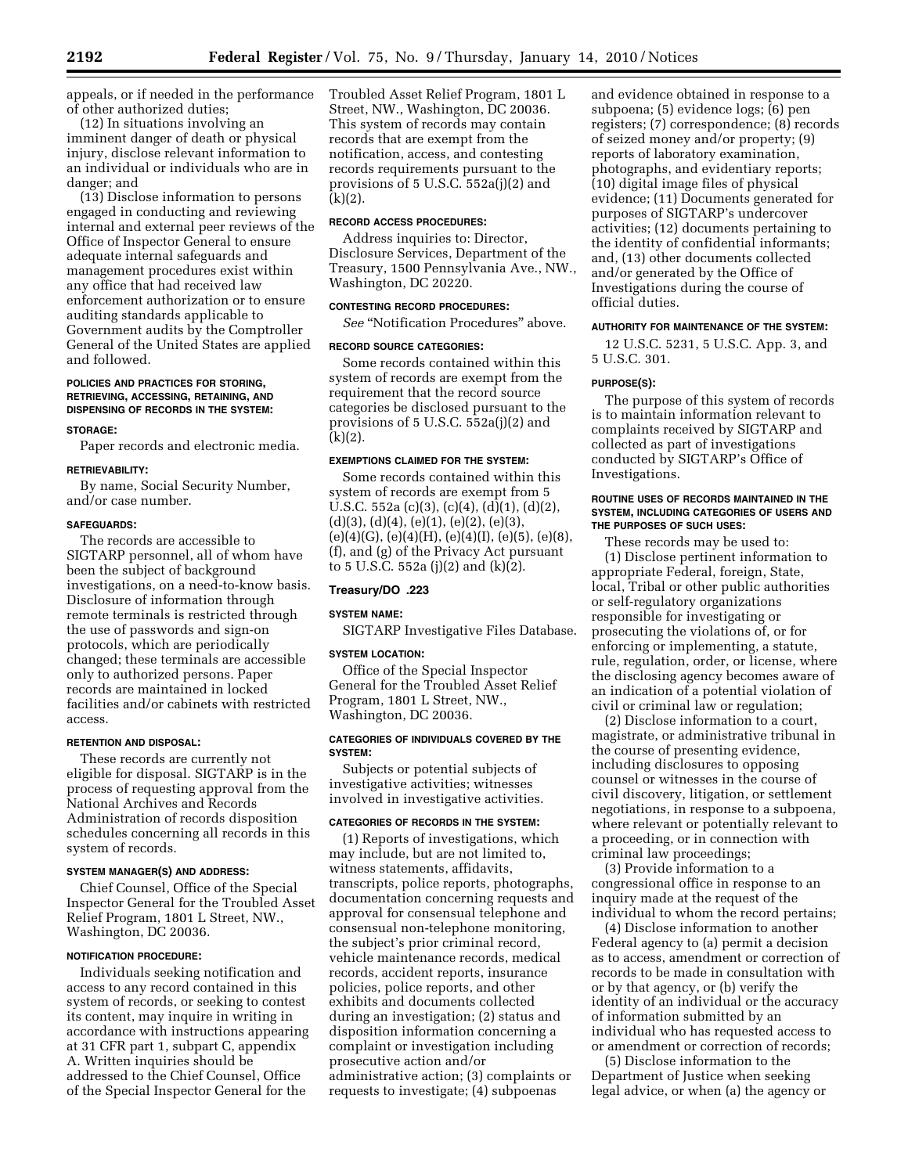appeals, or if needed in the performance of other authorized duties;

(12) In situations involving an imminent danger of death or physical injury, disclose relevant information to an individual or individuals who are in danger; and

(13) Disclose information to persons engaged in conducting and reviewing internal and external peer reviews of the Office of Inspector General to ensure adequate internal safeguards and management procedures exist within any office that had received law enforcement authorization or to ensure auditing standards applicable to Government audits by the Comptroller General of the United States are applied and followed.

# **POLICIES AND PRACTICES FOR STORING, RETRIEVING, ACCESSING, RETAINING, AND DISPENSING OF RECORDS IN THE SYSTEM:**

#### **STORAGE:**

Paper records and electronic media.

#### **RETRIEVABILITY:**

By name, Social Security Number, and/or case number.

#### **SAFEGUARDS:**

The records are accessible to SIGTARP personnel, all of whom have been the subject of background investigations, on a need-to-know basis. Disclosure of information through remote terminals is restricted through the use of passwords and sign-on protocols, which are periodically changed; these terminals are accessible only to authorized persons. Paper records are maintained in locked facilities and/or cabinets with restricted access.

## **RETENTION AND DISPOSAL:**

These records are currently not eligible for disposal. SIGTARP is in the process of requesting approval from the National Archives and Records Administration of records disposition schedules concerning all records in this system of records.

## **SYSTEM MANAGER(S) AND ADDRESS:**

Chief Counsel, Office of the Special Inspector General for the Troubled Asset Relief Program, 1801 L Street, NW., Washington, DC 20036.

## **NOTIFICATION PROCEDURE:**

Individuals seeking notification and access to any record contained in this system of records, or seeking to contest its content, may inquire in writing in accordance with instructions appearing at 31 CFR part 1, subpart C, appendix A. Written inquiries should be addressed to the Chief Counsel, Office of the Special Inspector General for the

Troubled Asset Relief Program, 1801 L Street, NW., Washington, DC 20036. This system of records may contain records that are exempt from the notification, access, and contesting records requirements pursuant to the provisions of 5 U.S.C. 552a(j)(2) and  $(k)(2)$ .

#### **RECORD ACCESS PROCEDURES:**

Address inquiries to: Director, Disclosure Services, Department of the Treasury, 1500 Pennsylvania Ave., NW., Washington, DC 20220.

## **CONTESTING RECORD PROCEDURES:**

*See* ''Notification Procedures'' above.

## **RECORD SOURCE CATEGORIES:**

Some records contained within this system of records are exempt from the requirement that the record source categories be disclosed pursuant to the provisions of 5 U.S.C. 552a(j)(2) and  $(k)(2)$ .

#### **EXEMPTIONS CLAIMED FOR THE SYSTEM:**

Some records contained within this system of records are exempt from 5 U.S.C. 552a (c)(3), (c)(4), (d)(1), (d)(2),  $(d)(3), (d)(4), (e)(1), (e)(2), (e)(3),$  $(e)(4)(G), (e)(4)(H), (e)(4)(I), (e)(5), (e)(8),$ (f), and (g) of the Privacy Act pursuant to 5 U.S.C. 552a (j)(2) and (k)(2).

## **Treasury/DO .223**

#### **SYSTEM NAME:**

SIGTARP Investigative Files Database.

#### **SYSTEM LOCATION:**

Office of the Special Inspector General for the Troubled Asset Relief Program, 1801 L Street, NW., Washington, DC 20036.

## **CATEGORIES OF INDIVIDUALS COVERED BY THE SYSTEM:**

Subjects or potential subjects of investigative activities; witnesses involved in investigative activities.

# **CATEGORIES OF RECORDS IN THE SYSTEM:**

(1) Reports of investigations, which may include, but are not limited to, witness statements, affidavits, transcripts, police reports, photographs, documentation concerning requests and approval for consensual telephone and consensual non-telephone monitoring, the subject's prior criminal record, vehicle maintenance records, medical records, accident reports, insurance policies, police reports, and other exhibits and documents collected during an investigation; (2) status and disposition information concerning a complaint or investigation including prosecutive action and/or administrative action; (3) complaints or requests to investigate; (4) subpoenas

and evidence obtained in response to a subpoena; (5) evidence logs; (6) pen registers; (7) correspondence; (8) records of seized money and/or property; (9) reports of laboratory examination, photographs, and evidentiary reports; (10) digital image files of physical evidence; (11) Documents generated for purposes of SIGTARP's undercover activities; (12) documents pertaining to the identity of confidential informants; and, (13) other documents collected and/or generated by the Office of Investigations during the course of official duties.

#### **AUTHORITY FOR MAINTENANCE OF THE SYSTEM:**

12 U.S.C. 5231, 5 U.S.C. App. 3, and 5 U.S.C. 301.

## **PURPOSE(S):**

The purpose of this system of records is to maintain information relevant to complaints received by SIGTARP and collected as part of investigations conducted by SIGTARP's Office of Investigations.

## **ROUTINE USES OF RECORDS MAINTAINED IN THE SYSTEM, INCLUDING CATEGORIES OF USERS AND THE PURPOSES OF SUCH USES:**

These records may be used to: (1) Disclose pertinent information to appropriate Federal, foreign, State, local, Tribal or other public authorities or self-regulatory organizations responsible for investigating or prosecuting the violations of, or for enforcing or implementing, a statute, rule, regulation, order, or license, where the disclosing agency becomes aware of an indication of a potential violation of civil or criminal law or regulation;

(2) Disclose information to a court, magistrate, or administrative tribunal in the course of presenting evidence, including disclosures to opposing counsel or witnesses in the course of civil discovery, litigation, or settlement negotiations, in response to a subpoena, where relevant or potentially relevant to a proceeding, or in connection with criminal law proceedings;

(3) Provide information to a congressional office in response to an inquiry made at the request of the individual to whom the record pertains;

(4) Disclose information to another Federal agency to (a) permit a decision as to access, amendment or correction of records to be made in consultation with or by that agency, or (b) verify the identity of an individual or the accuracy of information submitted by an individual who has requested access to or amendment or correction of records;

(5) Disclose information to the Department of Justice when seeking legal advice, or when (a) the agency or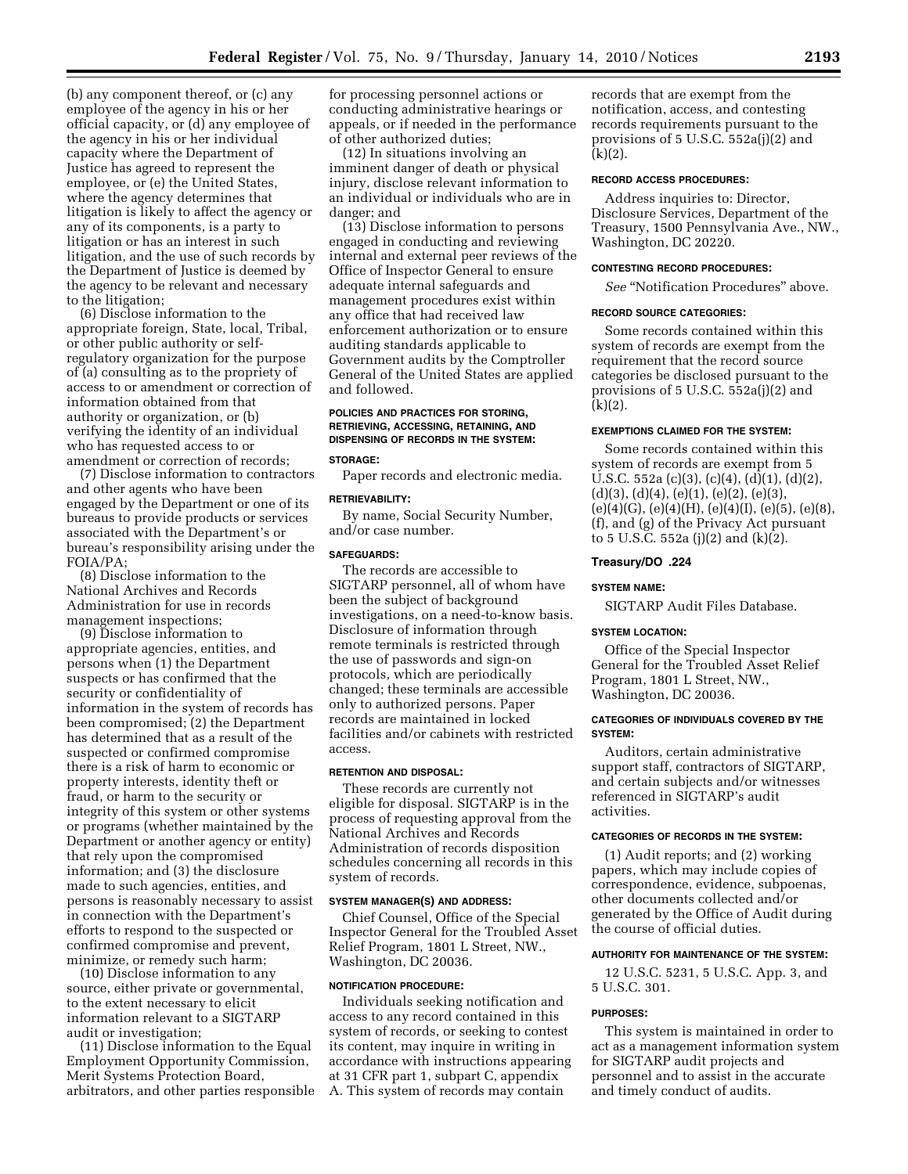(b) any component thereof, or (c) any employee of the agency in his or her official capacity, or (d) any employee of the agency in his or her individual capacity where the Department of Justice has agreed to represent the employee, or (e) the United States, where the agency determines that litigation is likely to affect the agency or any of its components, is a party to litigation or has an interest in such litigation, and the use of such records by the Department of Justice is deemed by the agency to be relevant and necessary to the litigation;

(6) Disclose information to the appropriate foreign, State, local, Tribal, or other public authority or selfregulatory organization for the purpose of (a) consulting as to the propriety of access to or amendment or correction of information obtained from that authority or organization, or (b) verifying the identity of an individual who has requested access to or amendment or correction of records;

(7) Disclose information to contractors and other agents who have been engaged by the Department or one of its bureaus to provide products or services associated with the Department's or bureau's responsibility arising under the FOIA/PA;

(8) Disclose information to the National Archives and Records Administration for use in records management inspections;

(9) Disclose information to appropriate agencies, entities, and persons when (1) the Department suspects or has confirmed that the security or confidentiality of information in the system of records has been compromised; (2) the Department has determined that as a result of the suspected or confirmed compromise there is a risk of harm to economic or property interests, identity theft or fraud, or harm to the security or integrity of this system or other systems or programs (whether maintained by the Department or another agency or entity) that rely upon the compromised information; and (3) the disclosure made to such agencies, entities, and persons is reasonably necessary to assist in connection with the Department's efforts to respond to the suspected or confirmed compromise and prevent, minimize, or remedy such harm;

(10) Disclose information to any source, either private or governmental, to the extent necessary to elicit information relevant to a SIGTARP audit or investigation;

(11) Disclose information to the Equal Employment Opportunity Commission, Merit Systems Protection Board, arbitrators, and other parties responsible

for processing personnel actions or conducting administrative hearings or appeals, or if needed in the performance of other authorized duties;

(12) In situations involving an imminent danger of death or physical injury, disclose relevant information to an individual or individuals who are in danger; and

(13) Disclose information to persons engaged in conducting and reviewing internal and external peer reviews of the Office of Inspector General to ensure adequate internal safeguards and management procedures exist within any office that had received law enforcement authorization or to ensure auditing standards applicable to Government audits by the Comptroller General of the United States are applied and followed.

# **POLICIES AND PRACTICES FOR STORING, RETRIEVING, ACCESSING, RETAINING, AND DISPENSING OF RECORDS IN THE SYSTEM:**

#### **STORAGE:**

Paper records and electronic media.

## **RETRIEVABILITY:**

By name, Social Security Number, and/or case number.

# **SAFEGUARDS:**

The records are accessible to SIGTARP personnel, all of whom have been the subject of background investigations, on a need-to-know basis. Disclosure of information through remote terminals is restricted through the use of passwords and sign-on protocols, which are periodically changed; these terminals are accessible only to authorized persons. Paper records are maintained in locked facilities and/or cabinets with restricted access

# **RETENTION AND DISPOSAL:**

These records are currently not eligible for disposal. SIGTARP is in the process of requesting approval from the National Archives and Records Administration of records disposition schedules concerning all records in this system of records.

## **SYSTEM MANAGER(S) AND ADDRESS:**

Chief Counsel, Office of the Special Inspector General for the Troubled Asset Relief Program, 1801 L Street, NW., Washington, DC 20036.

# **NOTIFICATION PROCEDURE:**

Individuals seeking notification and access to any record contained in this system of records, or seeking to contest its content, may inquire in writing in accordance with instructions appearing at 31 CFR part 1, subpart C, appendix A. This system of records may contain

records that are exempt from the notification, access, and contesting records requirements pursuant to the provisions of 5 U.S.C. 552a(j)(2) and  $(k)(2).$ 

# **RECORD ACCESS PROCEDURES:**

Address inquiries to: Director, Disclosure Services, Department of the Treasury, 1500 Pennsylvania Ave., NW., Washington, DC 20220.

#### **CONTESTING RECORD PROCEDURES:**

See "Notification Procedures" above.

## **RECORD SOURCE CATEGORIES:**

Some records contained within this system of records are exempt from the requirement that the record source categories be disclosed pursuant to the provisions of 5 U.S.C. 552a(j)(2) and (k)(2).

# **EXEMPTIONS CLAIMED FOR THE SYSTEM:**

Some records contained within this system of records are exempt from 5 U.S.C. 552a (c)(3), (c)(4), (d)(1), (d)(2),  $(d)(3), (d)(4), (e)(1), (e)(2), (e)(3),$  $(e)(4)(G), (e)(4)(H), (e)(4)(I), (e)(5), (e)(8),$ (f), and (g) of the Privacy Act pursuant to 5 U.S.C. 552a (j)(2) and (k)(2).

# **Treasury/DO .224**

# **SYSTEM NAME:**

SIGTARP Audit Files Database.

#### **SYSTEM LOCATION:**

Office of the Special Inspector General for the Troubled Asset Relief Program, 1801 L Street, NW., Washington, DC 20036.

# **CATEGORIES OF INDIVIDUALS COVERED BY THE SYSTEM:**

Auditors, certain administrative support staff, contractors of SIGTARP, and certain subjects and/or witnesses referenced in SIGTARP's audit activities.

#### **CATEGORIES OF RECORDS IN THE SYSTEM:**

(1) Audit reports; and (2) working papers, which may include copies of correspondence, evidence, subpoenas, other documents collected and/or generated by the Office of Audit during the course of official duties.

# **AUTHORITY FOR MAINTENANCE OF THE SYSTEM:**

12 U.S.C. 5231, 5 U.S.C. App. 3, and 5 U.S.C. 301.

## **PURPOSES:**

This system is maintained in order to act as a management information system for SIGTARP audit projects and personnel and to assist in the accurate and timely conduct of audits.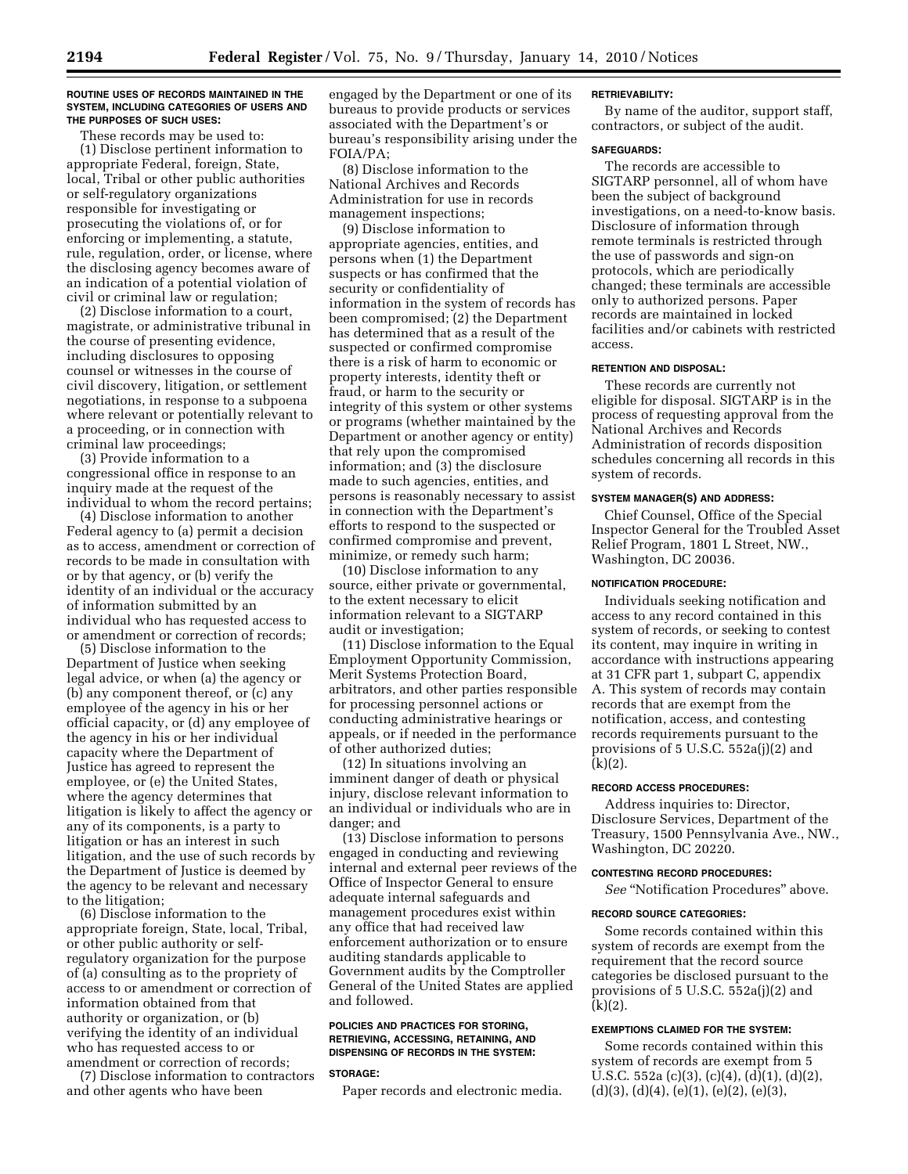## **ROUTINE USES OF RECORDS MAINTAINED IN THE SYSTEM, INCLUDING CATEGORIES OF USERS AND THE PURPOSES OF SUCH USES:**

These records may be used to: (1) Disclose pertinent information to appropriate Federal, foreign, State, local, Tribal or other public authorities or self-regulatory organizations responsible for investigating or prosecuting the violations of, or for enforcing or implementing, a statute, rule, regulation, order, or license, where the disclosing agency becomes aware of an indication of a potential violation of civil or criminal law or regulation;

(2) Disclose information to a court, magistrate, or administrative tribunal in the course of presenting evidence, including disclosures to opposing counsel or witnesses in the course of civil discovery, litigation, or settlement negotiations, in response to a subpoena where relevant or potentially relevant to a proceeding, or in connection with criminal law proceedings;

(3) Provide information to a congressional office in response to an inquiry made at the request of the individual to whom the record pertains;

(4) Disclose information to another Federal agency to (a) permit a decision as to access, amendment or correction of records to be made in consultation with or by that agency, or (b) verify the identity of an individual or the accuracy of information submitted by an individual who has requested access to or amendment or correction of records;

(5) Disclose information to the Department of Justice when seeking legal advice, or when (a) the agency or (b) any component thereof, or (c) any employee of the agency in his or her official capacity, or (d) any employee of the agency in his or her individual capacity where the Department of Justice has agreed to represent the employee, or (e) the United States, where the agency determines that litigation is likely to affect the agency or any of its components, is a party to litigation or has an interest in such litigation, and the use of such records by the Department of Justice is deemed by the agency to be relevant and necessary to the litigation;

(6) Disclose information to the appropriate foreign, State, local, Tribal, or other public authority or selfregulatory organization for the purpose of (a) consulting as to the propriety of access to or amendment or correction of information obtained from that authority or organization, or (b) verifying the identity of an individual who has requested access to or amendment or correction of records;

(7) Disclose information to contractors and other agents who have been

engaged by the Department or one of its bureaus to provide products or services associated with the Department's or bureau's responsibility arising under the FOIA/PA;

(8) Disclose information to the National Archives and Records Administration for use in records management inspections;

(9) Disclose information to appropriate agencies, entities, and persons when (1) the Department suspects or has confirmed that the security or confidentiality of information in the system of records has been compromised; (2) the Department has determined that as a result of the suspected or confirmed compromise there is a risk of harm to economic or property interests, identity theft or fraud, or harm to the security or integrity of this system or other systems or programs (whether maintained by the Department or another agency or entity) that rely upon the compromised information; and (3) the disclosure made to such agencies, entities, and persons is reasonably necessary to assist in connection with the Department's efforts to respond to the suspected or confirmed compromise and prevent, minimize, or remedy such harm;

(10) Disclose information to any source, either private or governmental, to the extent necessary to elicit information relevant to a SIGTARP audit or investigation;

(11) Disclose information to the Equal Employment Opportunity Commission, Merit Systems Protection Board, arbitrators, and other parties responsible for processing personnel actions or conducting administrative hearings or appeals, or if needed in the performance of other authorized duties;

(12) In situations involving an imminent danger of death or physical injury, disclose relevant information to an individual or individuals who are in danger; and

(13) Disclose information to persons engaged in conducting and reviewing internal and external peer reviews of the Office of Inspector General to ensure adequate internal safeguards and management procedures exist within any office that had received law enforcement authorization or to ensure auditing standards applicable to Government audits by the Comptroller General of the United States are applied and followed.

# **POLICIES AND PRACTICES FOR STORING, RETRIEVING, ACCESSING, RETAINING, AND DISPENSING OF RECORDS IN THE SYSTEM:**

# **STORAGE:**

Paper records and electronic media.

## **RETRIEVABILITY:**

By name of the auditor, support staff, contractors, or subject of the audit.

## **SAFEGUARDS:**

The records are accessible to SIGTARP personnel, all of whom have been the subject of background investigations, on a need-to-know basis. Disclosure of information through remote terminals is restricted through the use of passwords and sign-on protocols, which are periodically changed; these terminals are accessible only to authorized persons. Paper records are maintained in locked facilities and/or cabinets with restricted access.

## **RETENTION AND DISPOSAL:**

These records are currently not eligible for disposal. SIGTARP is in the process of requesting approval from the National Archives and Records Administration of records disposition schedules concerning all records in this system of records.

## **SYSTEM MANAGER(S) AND ADDRESS:**

Chief Counsel, Office of the Special Inspector General for the Troubled Asset Relief Program, 1801 L Street, NW., Washington, DC 20036.

## **NOTIFICATION PROCEDURE:**

Individuals seeking notification and access to any record contained in this system of records, or seeking to contest its content, may inquire in writing in accordance with instructions appearing at 31 CFR part 1, subpart C, appendix A. This system of records may contain records that are exempt from the notification, access, and contesting records requirements pursuant to the provisions of 5 U.S.C. 552a(j)(2) and (k)(2).

#### **RECORD ACCESS PROCEDURES:**

Address inquiries to: Director, Disclosure Services, Department of the Treasury, 1500 Pennsylvania Ave., NW., Washington, DC 20220.

# **CONTESTING RECORD PROCEDURES:**

See "Notification Procedures" above.

#### **RECORD SOURCE CATEGORIES:**

Some records contained within this system of records are exempt from the requirement that the record source categories be disclosed pursuant to the provisions of 5 U.S.C. 552a(j)(2) and (k)(2).

# **EXEMPTIONS CLAIMED FOR THE SYSTEM:**

Some records contained within this system of records are exempt from 5 U.S.C. 552a (c)(3), (c)(4), (d)(1), (d)(2),  $(d)(3), (d)(4), (e)(1), (e)(2), (e)(3),$